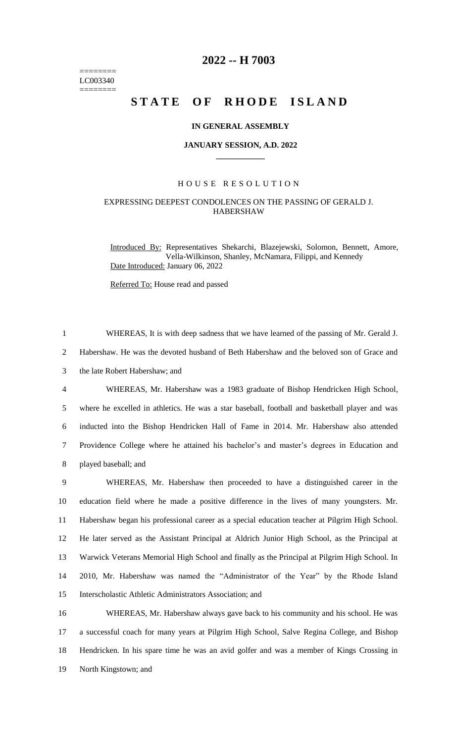======== LC003340 ========

# **2022 -- H 7003**

# STATE OF RHODE ISLAND

#### **IN GENERAL ASSEMBLY**

#### **JANUARY SESSION, A.D. 2022 \_\_\_\_\_\_\_\_\_\_\_\_**

### H O U S E R E S O L U T I O N

## EXPRESSING DEEPEST CONDOLENCES ON THE PASSING OF GERALD J. HABERSHAW

Introduced By: Representatives Shekarchi, Blazejewski, Solomon, Bennett, Amore, Vella-Wilkinson, Shanley, McNamara, Filippi, and Kennedy Date Introduced: January 06, 2022

Referred To: House read and passed

 WHEREAS, It is with deep sadness that we have learned of the passing of Mr. Gerald J. Habershaw. He was the devoted husband of Beth Habershaw and the beloved son of Grace and the late Robert Habershaw; and WHEREAS, Mr. Habershaw was a 1983 graduate of Bishop Hendricken High School, where he excelled in athletics. He was a star baseball, football and basketball player and was inducted into the Bishop Hendricken Hall of Fame in 2014. Mr. Habershaw also attended Providence College where he attained his bachelor's and master's degrees in Education and played baseball; and WHEREAS, Mr. Habershaw then proceeded to have a distinguished career in the education field where he made a positive difference in the lives of many youngsters. Mr. Habershaw began his professional career as a special education teacher at Pilgrim High School. He later served as the Assistant Principal at Aldrich Junior High School, as the Principal at Warwick Veterans Memorial High School and finally as the Principal at Pilgrim High School. In 2010, Mr. Habershaw was named the "Administrator of the Year" by the Rhode Island Interscholastic Athletic Administrators Association; and WHEREAS, Mr. Habershaw always gave back to his community and his school. He was a successful coach for many years at Pilgrim High School, Salve Regina College, and Bishop

18 Hendricken. In his spare time he was an avid golfer and was a member of Kings Crossing in 19 North Kingstown; and